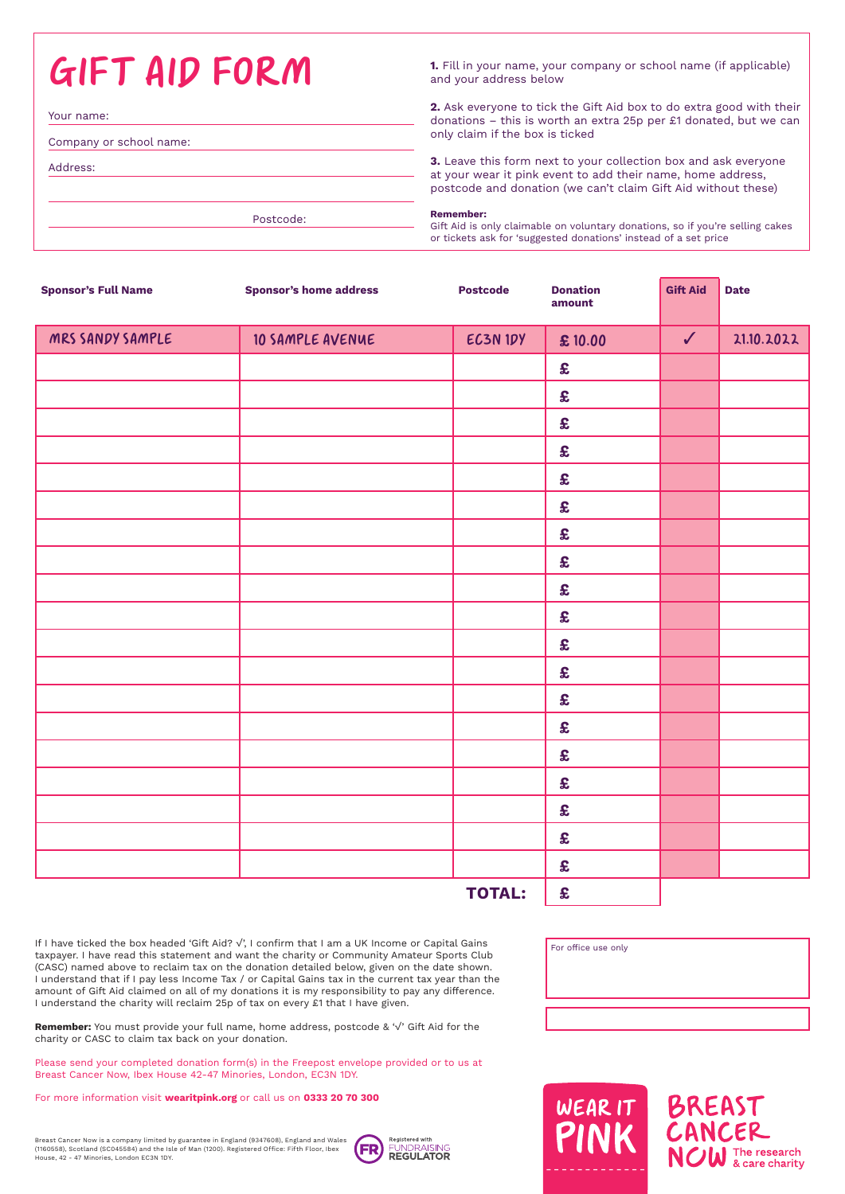GIFT AID FORM **1.** Fill in your name, your company or school name (if applicable) and your address below

Your name: Company or school name: Address:

Postcode:

**2.** Ask everyone to tick the Gift Aid box to do extra good with their donations – this is worth an extra 25p per £1 donated, but we can only claim if the box is ticked

**3.** Leave this form next to your collection box and ask everyone at your wear it pink event to add their name, home address, postcode and donation (we can't claim Gift Aid without these)

## **Remember:**

Gift Aid is only claimable on voluntary donations, so if you're selling cakes or tickets ask for 'suggested donations' instead of a set price

| <b>Sponsor's Full Name</b> | <b>Sponsor's home address</b> | <b>Postcode</b> | <b>Donation</b><br>amount | <b>Gift Aid</b> | <b>Date</b> |
|----------------------------|-------------------------------|-----------------|---------------------------|-----------------|-------------|
| MRS SANDY SAMPLE           | 10 SAMPLE AVENUE              | EC3N IDY        | £10.00                    | $\checkmark$    | 21.10.2022  |
|                            |                               |                 | $\pmb{\mathfrak{L}}$      |                 |             |
|                            |                               |                 | £                         |                 |             |
|                            |                               |                 | £                         |                 |             |
|                            |                               |                 | $\pmb{\mathfrak{L}}$      |                 |             |
|                            |                               |                 | £                         |                 |             |
|                            |                               |                 | $\pmb{\mathfrak{L}}$      |                 |             |
|                            |                               |                 | $\pmb{\mathfrak{L}}$      |                 |             |
|                            |                               |                 | $\pmb{\mathfrak{L}}$      |                 |             |
|                            |                               |                 | $\pmb{\mathfrak{L}}$      |                 |             |
|                            |                               |                 | £                         |                 |             |
|                            |                               |                 | $\pmb{\mathfrak{L}}$      |                 |             |
|                            |                               |                 | $\pmb{\mathfrak{L}}$      |                 |             |
|                            |                               |                 | £                         |                 |             |
|                            |                               |                 | $\pmb{\mathfrak{L}}$      |                 |             |
|                            |                               |                 | $\pmb{\mathfrak{L}}$      |                 |             |
|                            |                               |                 | £                         |                 |             |
|                            |                               |                 | $\pmb{\mathfrak{L}}$      |                 |             |
|                            |                               |                 | $\pmb{\mathfrak{L}}$      |                 |             |
|                            |                               |                 | $\pmb{\mathfrak{L}}$      |                 |             |
|                            | £                             |                 |                           |                 |             |

If I have ticked the box headed 'Gift Aid? √', I confirm that I am a UK Income or Capital Gains taxpayer. I have read this statement and want the charity or Community Amateur Sports Club (CASC) named above to reclaim tax on the donation detailed below, given on the date shown. I understand that if I pay less Income Tax / or Capital Gains tax in the current tax year than the amount of Gift Aid claimed on all of my donations it is my responsibility to pay any difference. I understand the charity will reclaim 25p of tax on every £1 that I have given.

**Remember:** You must provide your full name, home address, postcode & '√' Gift Aid for the charity or CASC to claim tax back on your donation.

Please send your completed donation form(s) in the Freepost envelope provided or to us at Breast Cancer Now, Ibex House 42-47 Minories, London, EC3N 1DY.

For more information visit **wearitpink.org** or call us on **0333 20 70 300**





For office use only